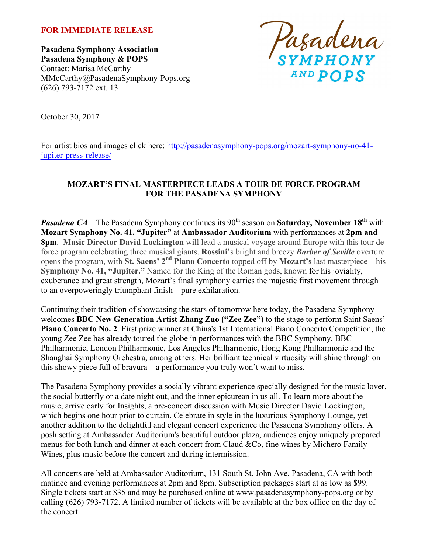### **FOR IMMEDIATE RELEASE**

**Pasadena Symphony Association Pasadena Symphony & POPS** Contact: Marisa McCarthy MMcCarthy@PasadenaSymphony-Pops.org (626) 793-7172 ext. 13



October 30, 2017

For artist bios and images click here: http://pasadenasymphony-pops.org/mozart-symphony-no-41jupiter-press-release/

## **MOZART'S FINAL MASTERPIECE LEADS A TOUR DE FORCE PROGRAM FOR THE PASADENA SYMPHONY**

*Pasadena CA* – The Pasadena Symphony continues its 90<sup>th</sup> season on **Saturday**, November 18<sup>th</sup> with **Mozart Symphony No. 41. "Jupiter"** at **Ambassador Auditorium** with performances at **2pm and 8pm**. **Music Director David Lockington** will lead a musical voyage around Europe with this tour de force program celebrating three musical giants. **Rossini**'s bright and breezy *Barber of Seville* overture opens the program, with **St. Saens' 2nd Piano Concerto** topped off by **Mozart's** last masterpiece – his **Symphony No. 41, "Jupiter."** Named for the King of the Roman gods, known for his joviality, exuberance and great strength, Mozart's final symphony carries the majestic first movement through to an overpoweringly triumphant finish – pure exhilaration.

Continuing their tradition of showcasing the stars of tomorrow here today, the Pasadena Symphony welcomes **BBC New Generation Artist Zhang Zuo ("Zee Zee")** to the stage to perform Saint Saens' **Piano Concerto No. 2**. First prize winner at China's 1st International Piano Concerto Competition, the young Zee Zee has already toured the globe in performances with the BBC Symphony, BBC Philharmonic, London Philharmonic, Los Angeles Philharmonic, Hong Kong Philharmonic and the Shanghai Symphony Orchestra, among others. Her brilliant technical virtuosity will shine through on this showy piece full of bravura – a performance you truly won't want to miss.

The Pasadena Symphony provides a socially vibrant experience specially designed for the music lover, the social butterfly or a date night out, and the inner epicurean in us all. To learn more about the music, arrive early for Insights, a pre-concert discussion with Music Director David Lockington, which begins one hour prior to curtain. Celebrate in style in the luxurious Symphony Lounge, yet another addition to the delightful and elegant concert experience the Pasadena Symphony offers. A posh setting at Ambassador Auditorium's beautiful outdoor plaza, audiences enjoy uniquely prepared menus for both lunch and dinner at each concert from Claud &Co, fine wines by Michero Family Wines, plus music before the concert and during intermission.

All concerts are held at Ambassador Auditorium, 131 South St. John Ave, Pasadena, CA with both matinee and evening performances at 2pm and 8pm. Subscription packages start at as low as \$99. Single tickets start at \$35 and may be purchased online at www.pasadenasymphony-pops.org or by calling (626) 793-7172. A limited number of tickets will be available at the box office on the day of the concert.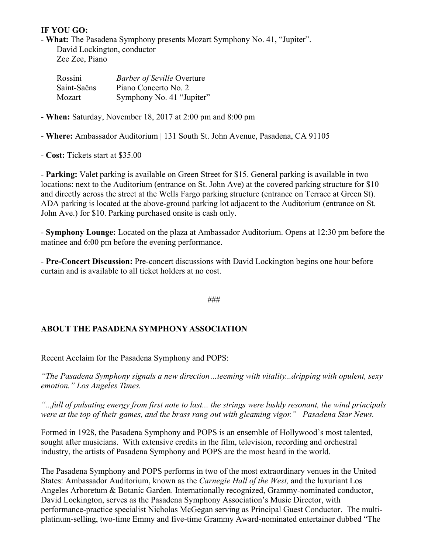## **IF YOU GO:**

- **What:** The Pasadena Symphony presents Mozart Symphony No. 41, "Jupiter". David Lockington, conductor Zee Zee, Piano

| Rossini     | <b>Barber of Seville Overture</b> |
|-------------|-----------------------------------|
| Saint-Saëns | Piano Concerto No. 2              |
| Mozart      | Symphony No. 41 "Jupiter"         |

- **When:** Saturday, November 18, 2017 at 2:00 pm and 8:00 pm

- **Where:** Ambassador Auditorium | 131 South St. John Avenue, Pasadena, CA 91105

- **Cost:** Tickets start at \$35.00

- **Parking:** Valet parking is available on Green Street for \$15. General parking is available in two locations: next to the Auditorium (entrance on St. John Ave) at the covered parking structure for \$10 and directly across the street at the Wells Fargo parking structure (entrance on Terrace at Green St). ADA parking is located at the above-ground parking lot adjacent to the Auditorium (entrance on St. John Ave.) for \$10. Parking purchased onsite is cash only.

- **Symphony Lounge:** Located on the plaza at Ambassador Auditorium. Opens at 12:30 pm before the matinee and 6:00 pm before the evening performance.

- **Pre-Concert Discussion:** Pre-concert discussions with David Lockington begins one hour before curtain and is available to all ticket holders at no cost.

###

# **ABOUT THE PASADENA SYMPHONY ASSOCIATION**

Recent Acclaim for the Pasadena Symphony and POPS:

*"The Pasadena Symphony signals a new direction…teeming with vitality...dripping with opulent, sexy emotion." Los Angeles Times.* 

*"...full of pulsating energy from first note to last... the strings were lushly resonant, the wind principals were at the top of their games, and the brass rang out with gleaming vigor." –Pasadena Star News.*

Formed in 1928, the Pasadena Symphony and POPS is an ensemble of Hollywood's most talented, sought after musicians. With extensive credits in the film, television, recording and orchestral industry, the artists of Pasadena Symphony and POPS are the most heard in the world.

The Pasadena Symphony and POPS performs in two of the most extraordinary venues in the United States: Ambassador Auditorium, known as the *Carnegie Hall of the West,* and the luxuriant Los Angeles Arboretum & Botanic Garden. Internationally recognized, Grammy-nominated conductor, David Lockington, serves as the Pasadena Symphony Association's Music Director, with performance-practice specialist Nicholas McGegan serving as Principal Guest Conductor. The multiplatinum-selling, two-time Emmy and five-time Grammy Award-nominated entertainer dubbed "The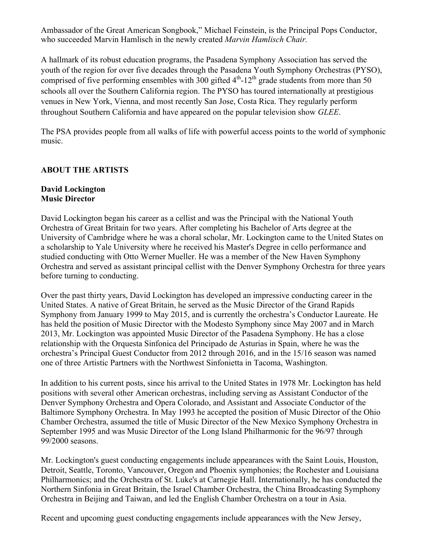Ambassador of the Great American Songbook," Michael Feinstein, is the Principal Pops Conductor, who succeeded Marvin Hamlisch in the newly created *Marvin Hamlisch Chair.*

A hallmark of its robust education programs, the Pasadena Symphony Association has served the youth of the region for over five decades through the Pasadena Youth Symphony Orchestras (PYSO), comprised of five performing ensembles with  $300$  gifted  $4<sup>th</sup>$ -12<sup>th</sup> grade students from more than 50 schools all over the Southern California region. The PYSO has toured internationally at prestigious venues in New York, Vienna, and most recently San Jose, Costa Rica. They regularly perform throughout Southern California and have appeared on the popular television show *GLEE*.

The PSA provides people from all walks of life with powerful access points to the world of symphonic music.

## **ABOUT THE ARTISTS**

### **David Lockington Music Director**

David Lockington began his career as a cellist and was the Principal with the National Youth Orchestra of Great Britain for two years. After completing his Bachelor of Arts degree at the University of Cambridge where he was a choral scholar, Mr. Lockington came to the United States on a scholarship to Yale University where he received his Master's Degree in cello performance and studied conducting with Otto Werner Mueller. He was a member of the New Haven Symphony Orchestra and served as assistant principal cellist with the Denver Symphony Orchestra for three years before turning to conducting.

Over the past thirty years, David Lockington has developed an impressive conducting career in the United States. A native of Great Britain, he served as the Music Director of the Grand Rapids Symphony from January 1999 to May 2015, and is currently the orchestra's Conductor Laureate. He has held the position of Music Director with the Modesto Symphony since May 2007 and in March 2013, Mr. Lockington was appointed Music Director of the Pasadena Symphony. He has a close relationship with the Orquesta Sinfonica del Principado de Asturias in Spain, where he was the orchestra's Principal Guest Conductor from 2012 through 2016, and in the 15/16 season was named one of three Artistic Partners with the Northwest Sinfonietta in Tacoma, Washington.

In addition to his current posts, since his arrival to the United States in 1978 Mr. Lockington has held positions with several other American orchestras, including serving as Assistant Conductor of the Denver Symphony Orchestra and Opera Colorado, and Assistant and Associate Conductor of the Baltimore Symphony Orchestra. In May 1993 he accepted the position of Music Director of the Ohio Chamber Orchestra, assumed the title of Music Director of the New Mexico Symphony Orchestra in September 1995 and was Music Director of the Long Island Philharmonic for the 96/97 through 99/2000 seasons.

Mr. Lockington's guest conducting engagements include appearances with the Saint Louis, Houston, Detroit, Seattle, Toronto, Vancouver, Oregon and Phoenix symphonies; the Rochester and Louisiana Philharmonics; and the Orchestra of St. Luke's at Carnegie Hall. Internationally, he has conducted the Northern Sinfonia in Great Britain, the Israel Chamber Orchestra, the China Broadcasting Symphony Orchestra in Beijing and Taiwan, and led the English Chamber Orchestra on a tour in Asia.

Recent and upcoming guest conducting engagements include appearances with the New Jersey,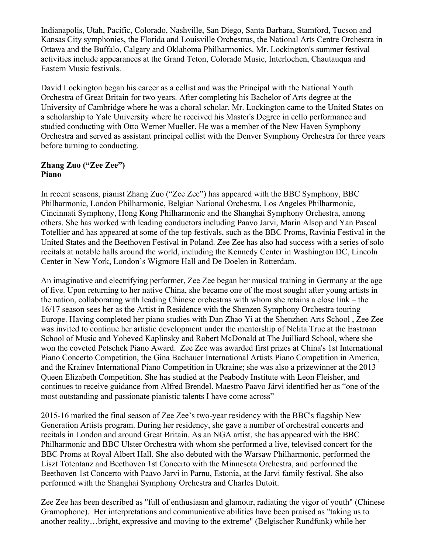Indianapolis, Utah, Pacific, Colorado, Nashville, San Diego, Santa Barbara, Stamford, Tucson and Kansas City symphonies, the Florida and Louisville Orchestras, the National Arts Centre Orchestra in Ottawa and the Buffalo, Calgary and Oklahoma Philharmonics. Mr. Lockington's summer festival activities include appearances at the Grand Teton, Colorado Music, Interlochen, Chautauqua and Eastern Music festivals.

David Lockington began his career as a cellist and was the Principal with the National Youth Orchestra of Great Britain for two years. After completing his Bachelor of Arts degree at the University of Cambridge where he was a choral scholar, Mr. Lockington came to the United States on a scholarship to Yale University where he received his Master's Degree in cello performance and studied conducting with Otto Werner Mueller. He was a member of the New Haven Symphony Orchestra and served as assistant principal cellist with the Denver Symphony Orchestra for three years before turning to conducting.

## **Zhang Zuo ("Zee Zee") Piano**

In recent seasons, pianist Zhang Zuo ("Zee Zee") has appeared with the BBC Symphony, BBC Philharmonic, London Philharmonic, Belgian National Orchestra, Los Angeles Philharmonic, Cincinnati Symphony, Hong Kong Philharmonic and the Shanghai Symphony Orchestra, among others. She has worked with leading conductors including Paavo Jarvi, Marin Alsop and Yan Pascal Totellier and has appeared at some of the top festivals, such as the BBC Proms, Ravinia Festival in the United States and the Beethoven Festival in Poland. Zee Zee has also had success with a series of solo recitals at notable halls around the world, including the Kennedy Center in Washington DC, Lincoln Center in New York, London's Wigmore Hall and De Doelen in Rotterdam.

An imaginative and electrifying performer, Zee Zee began her musical training in Germany at the age of five. Upon returning to her native China, she became one of the most sought after young artists in the nation, collaborating with leading Chinese orchestras with whom she retains a close link – the 16/17 season sees her as the Artist in Residence with the Shenzen Symphony Orchestra touring Europe. Having completed her piano studies with Dan Zhao Yi at the Shenzhen Arts School , Zee Zee was invited to continue her artistic development under the mentorship of Nelita True at the Eastman School of Music and Yoheved Kaplinsky and Robert McDonald at The Juilliard School, where she won the coveted Petschek Piano Award. Zee Zee was awarded first prizes at China's 1st International Piano Concerto Competition, the Gina Bachauer International Artists Piano Competition in America, and the Krainev International Piano Competition in Ukraine; she was also a prizewinner at the 2013 Queen Elizabeth Competition. She has studied at the Peabody Institute with Leon Fleisher, and continues to receive guidance from Alfred Brendel. Maestro Paavo Järvi identified her as "one of the most outstanding and passionate pianistic talents I have come across"

2015-16 marked the final season of Zee Zee's two-year residency with the BBC's flagship New Generation Artists program. During her residency, she gave a number of orchestral concerts and recitals in London and around Great Britain. As an NGA artist, she has appeared with the BBC Philharmonic and BBC Ulster Orchestra with whom she performed a live, televised concert for the BBC Proms at Royal Albert Hall. She also debuted with the Warsaw Philharmonic, performed the Liszt Totentanz and Beethoven 1st Concerto with the Minnesota Orchestra, and performed the Beethoven 1st Concerto with Paavo Jarvi in Parnu, Estonia, at the Jarvi family festival. She also performed with the Shanghai Symphony Orchestra and Charles Dutoit.

Zee Zee has been described as "full of enthusiasm and glamour, radiating the vigor of youth" (Chinese Gramophone). Her interpretations and communicative abilities have been praised as "taking us to another reality…bright, expressive and moving to the extreme" (Belgischer Rundfunk) while her